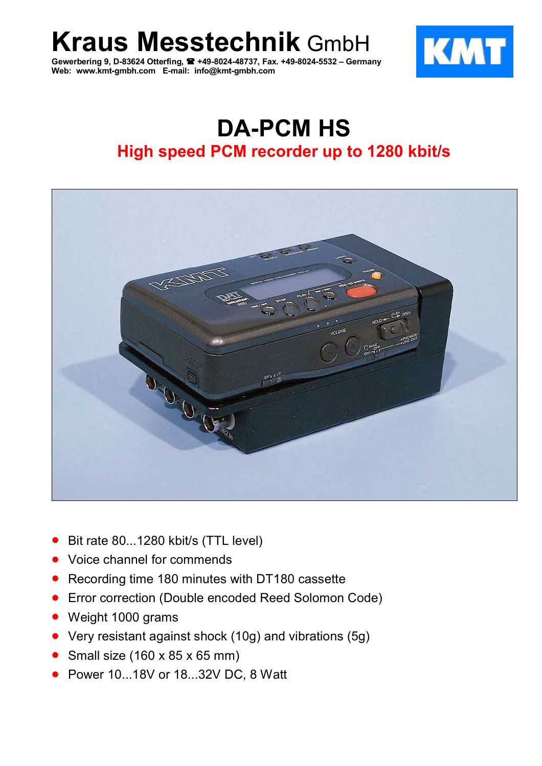**Kraus Messtechnik** GmbH

**Gewerbering 9, D-83624 Otterfing, +49-8024-48737, Fax. +49-8024-5532 – Germany Web: www.kmt-gmbh.com E-mail: info@kmt-gmbh.com**



# **DA-PCM HS High speed PCM recorder up to 1280 kbit/s**



- Bit rate 80...1280 kbit/s (TTL level)
- Voice channel for commends
- Recording time 180 minutes with DT180 cassette
- Error correction (Double encoded Reed Solomon Code)
- Weight 1000 grams
- Very resistant against shock (10g) and vibrations (5g)
- Small size  $(160 \times 85 \times 65 \text{ mm})$
- Power 10...18V or 18...32V DC, 8 Watt